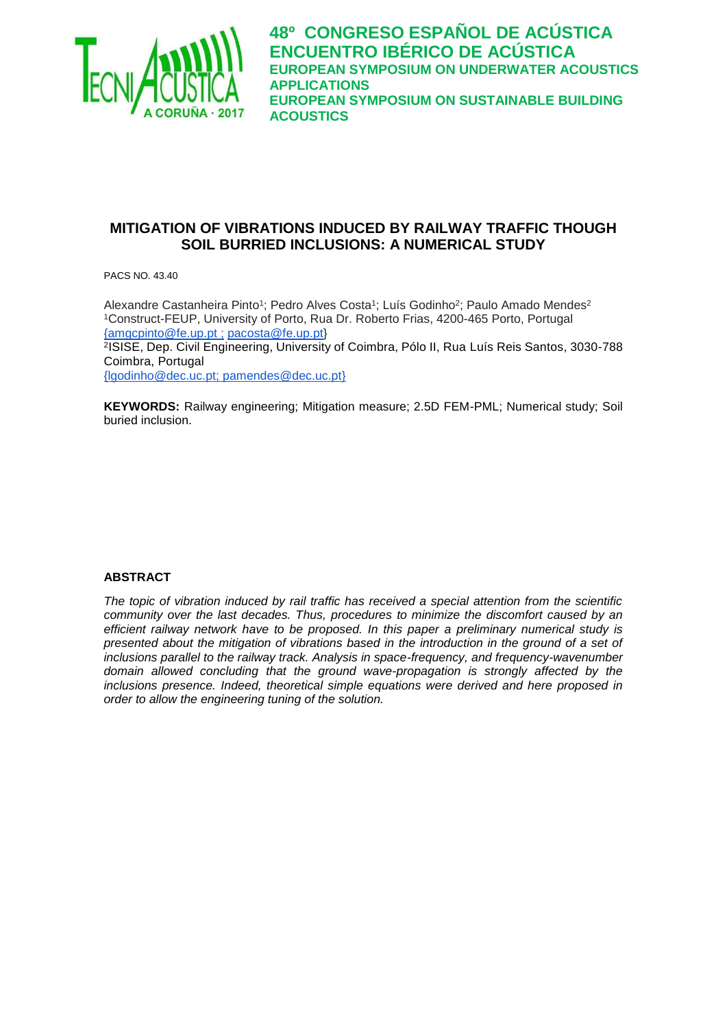

**48º CONGRESO ESPAÑOL DE ACÚSTICA ENCUENTRO IBÉRICO DE ACÚSTICA EUROPEAN SYMPOSIUM ON UNDERWATER ACOUSTICS APPLICATIONS EUROPEAN SYMPOSIUM ON SUSTAINABLE BUILDING ACOUSTICS**

# **MITIGATION OF VIBRATIONS INDUCED BY RAILWAY TRAFFIC THOUGH SOIL BURRIED INCLUSIONS: A NUMERICAL STUDY**

PACS NO. 43.40

Alexandre Castanheira Pinto<sup>1</sup>; Pedro Alves Costa<sup>1</sup>; Luís Godinho<sup>2</sup>; Paulo Amado Mendes<sup>2</sup> <sup>1</sup>Construct-FEUP, University of Porto, Rua Dr. Roberto Frias, 4200-465 Porto, Portugal [{a](mailto:%7baires@fe.up.pt)mgcpinto@fe.up.pt ; [pacosta@fe.up.pt}](mailto:pacosta@fe.up.pt)

2 ISISE, Dep. Civil Engineering, University of Coimbra, Pólo II, Rua Luís Reis Santos, 3030-788 Coimbra, Portugal

[{lgodinho@dec.uc.pt;](mailto:lgodinho@dec.uc.pt) pamendes@dec.uc.pt}

**KEYWORDS:** Railway engineering; Mitigation measure; 2.5D FEM-PML; Numerical study; Soil buried inclusion.

#### **ABSTRACT**

*The topic of vibration induced by rail traffic has received a special attention from the scientific community over the last decades. Thus, procedures to minimize the discomfort caused by an efficient railway network have to be proposed. In this paper a preliminary numerical study is presented about the mitigation of vibrations based in the introduction in the ground of a set of inclusions parallel to the railway track. Analysis in space-frequency, and frequency-wavenumber domain allowed concluding that the ground wave-propagation is strongly affected by the inclusions presence. Indeed, theoretical simple equations were derived and here proposed in order to allow the engineering tuning of the solution.*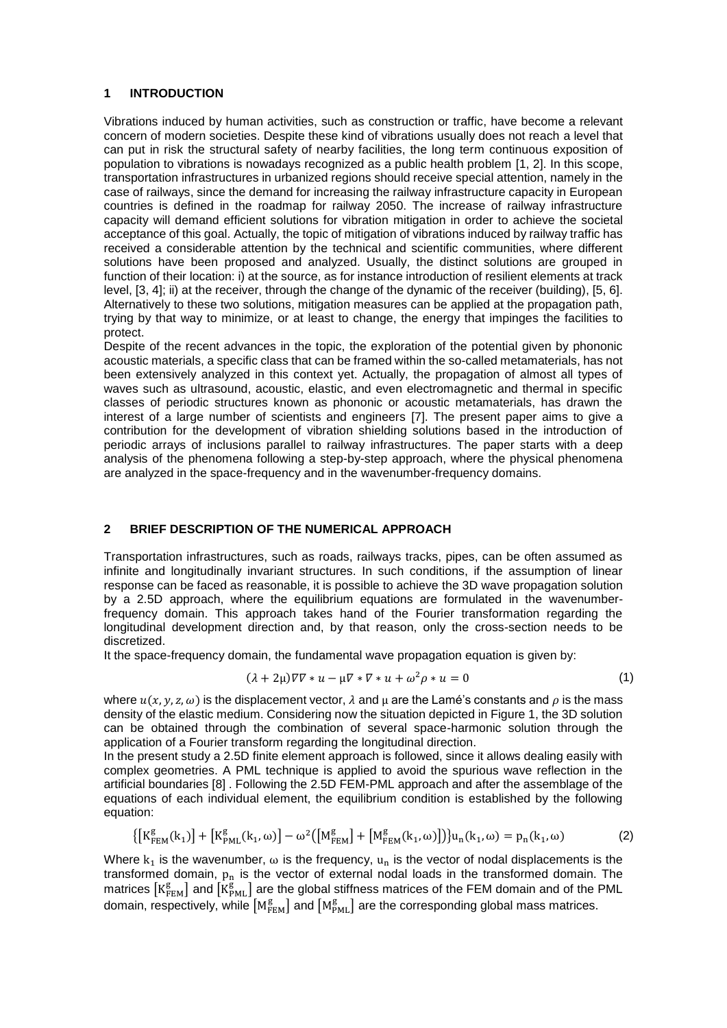#### **1 INTRODUCTION**

Vibrations induced by human activities, such as construction or traffic, have become a relevant concern of modern societies. Despite these kind of vibrations usually does not reach a level that can put in risk the structural safety of nearby facilities, the long term continuous exposition of population to vibrations is nowadays recognized as a public health problem [1, 2]. In this scope, transportation infrastructures in urbanized regions should receive special attention, namely in the case of railways, since the demand for increasing the railway infrastructure capacity in European countries is defined in the roadmap for railway 2050. The increase of railway infrastructure capacity will demand efficient solutions for vibration mitigation in order to achieve the societal acceptance of this goal. Actually, the topic of mitigation of vibrations induced by railway traffic has received a considerable attention by the technical and scientific communities, where different solutions have been proposed and analyzed. Usually, the distinct solutions are grouped in function of their location: i) at the source, as for instance introduction of resilient elements at track level, [3, 4]; ii) at the receiver, through the change of the dynamic of the receiver (building), [5, 6]. Alternatively to these two solutions, mitigation measures can be applied at the propagation path, trying by that way to minimize, or at least to change, the energy that impinges the facilities to protect.

Despite of the recent advances in the topic, the exploration of the potential given by phononic acoustic materials, a specific class that can be framed within the so-called metamaterials, has not been extensively analyzed in this context yet. Actually, the propagation of almost all types of waves such as ultrasound, acoustic, elastic, and even electromagnetic and thermal in specific classes of periodic structures known as phononic or acoustic metamaterials, has drawn the interest of a large number of scientists and engineers [7]. The present paper aims to give a contribution for the development of vibration shielding solutions based in the introduction of periodic arrays of inclusions parallel to railway infrastructures. The paper starts with a deep analysis of the phenomena following a step-by-step approach, where the physical phenomena are analyzed in the space-frequency and in the wavenumber-frequency domains.

#### **2 BRIEF DESCRIPTION OF THE NUMERICAL APPROACH**

Transportation infrastructures, such as roads, railways tracks, pipes, can be often assumed as infinite and longitudinally invariant structures. In such conditions, if the assumption of linear response can be faced as reasonable, it is possible to achieve the 3D wave propagation solution by a 2.5D approach, where the equilibrium equations are formulated in the wavenumberfrequency domain. This approach takes hand of the Fourier transformation regarding the longitudinal development direction and, by that reason, only the cross-section needs to be discretized.

It the space-frequency domain, the fundamental wave propagation equation is given by:

$$
(\lambda + 2\mu)\nabla\nabla * u - \mu\nabla * \nabla * u + \omega^2 \rho * u = 0 \tag{1}
$$

where  $u(x, y, z, \omega)$  is the displacement vector,  $\lambda$  and  $\mu$  are the Lamé's constants and  $\rho$  is the mass density of the elastic medium. Considering now the situation depicted in Figure 1, the 3D solution can be obtained through the combination of several space-harmonic solution through the application of a Fourier transform regarding the longitudinal direction.

In the present study a 2.5D finite element approach is followed, since it allows dealing easily with complex geometries. A PML technique is applied to avoid the spurious wave reflection in the artificial boundaries [8] . Following the 2.5D FEM-PML approach and after the assemblage of the equations of each individual element, the equilibrium condition is established by the following equation:

$$
\{[K_{FEM}^{g}(k_1)] + [K_{PML}^{g}(k_1, \omega)] - \omega^2 ([M_{FEM}^{g}] + [M_{FEM}^{g}(k_1, \omega)])\}u_n(k_1, \omega) = p_n(k_1, \omega)
$$
(2)

Where  $k_1$  is the wavenumber,  $\omega$  is the frequency,  $u_n$  is the vector of nodal displacements is the transformed domain,  $p_n$  is the vector of external nodal loads in the transformed domain. The matrices  $\rm\left[K_{FEM}^{g}\right]$  and  $\rm\left[\tilde{K}_{PML}^{\tilde{g}}\right]$  are the global stiffness matrices of the FEM domain and of the PML domain, respectively, while  $\left[M_{\rm FEM}^{\rm g}\right]$  and  $\left[M_{\rm PML}^{\rm g}\right]$  are the corresponding global mass matrices.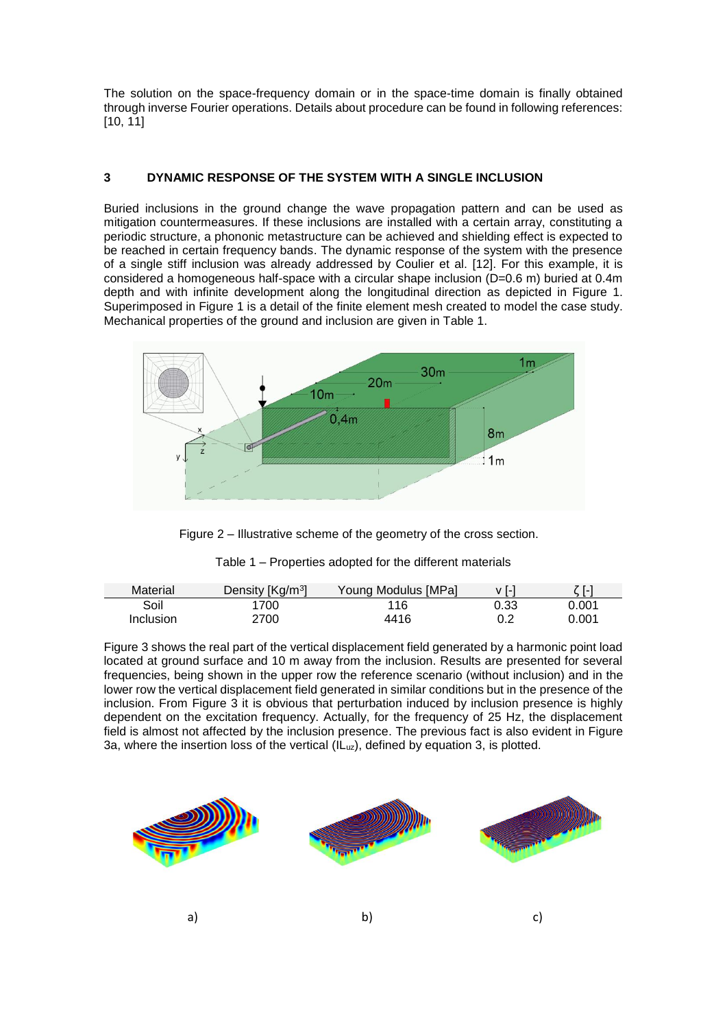The solution on the space-frequency domain or in the space-time domain is finally obtained through inverse Fourier operations. Details about procedure can be found in following references: [10, 11]

# **3 DYNAMIC RESPONSE OF THE SYSTEM WITH A SINGLE INCLUSION**

Buried inclusions in the ground change the wave propagation pattern and can be used as mitigation countermeasures. If these inclusions are installed with a certain array, constituting a periodic structure, a phononic metastructure can be achieved and shielding effect is expected to be reached in certain frequency bands. The dynamic response of the system with the presence of a single stiff inclusion was already addressed by Coulier et al. [12]. For this example, it is considered a homogeneous half-space with a circular shape inclusion (D=0.6 m) buried at 0.4m depth and with infinite development along the longitudinal direction as depicted in Figure 1. Superimposed in Figure 1 is a detail of the finite element mesh created to model the case study. Mechanical properties of the ground and inclusion are given in Table 1.



Figure 2 – Illustrative scheme of the geometry of the cross section.

| Table T – Properties adopted for the different materials |  |
|----------------------------------------------------------|--|
|                                                          |  |

Table 1 – Properties adopted for the different materials

| Material  | Density [Kg/m <sup>3</sup> ] | Young Modulus [MPa] | v [-] | 7 T-1 |
|-----------|------------------------------|---------------------|-------|-------|
| Soil      | 1700                         | 116                 | 0.33  | 0.001 |
| Inclusion | 2700                         | 4416                | 0.2   | 0.001 |

[Figure 3](#page-3-0) shows the real part of the vertical displacement field generated by a harmonic point load located at ground surface and 10 m away from the inclusion. Results are presented for several frequencies, being shown in the upper row the reference scenario (without inclusion) and in the lower row the vertical displacement field generated in similar conditions but in the presence of the inclusion. From [Figure 3](#page-3-0) it is obvious that perturbation induced by inclusion presence is highly dependent on the excitation frequency. Actually, for the frequency of 25 Hz, the displacement field is almost not affected by the inclusion presence. The previous fact is also evident in Figure 3a, where the insertion loss of the vertical (ILuz), defined by equation 3, is plotted.

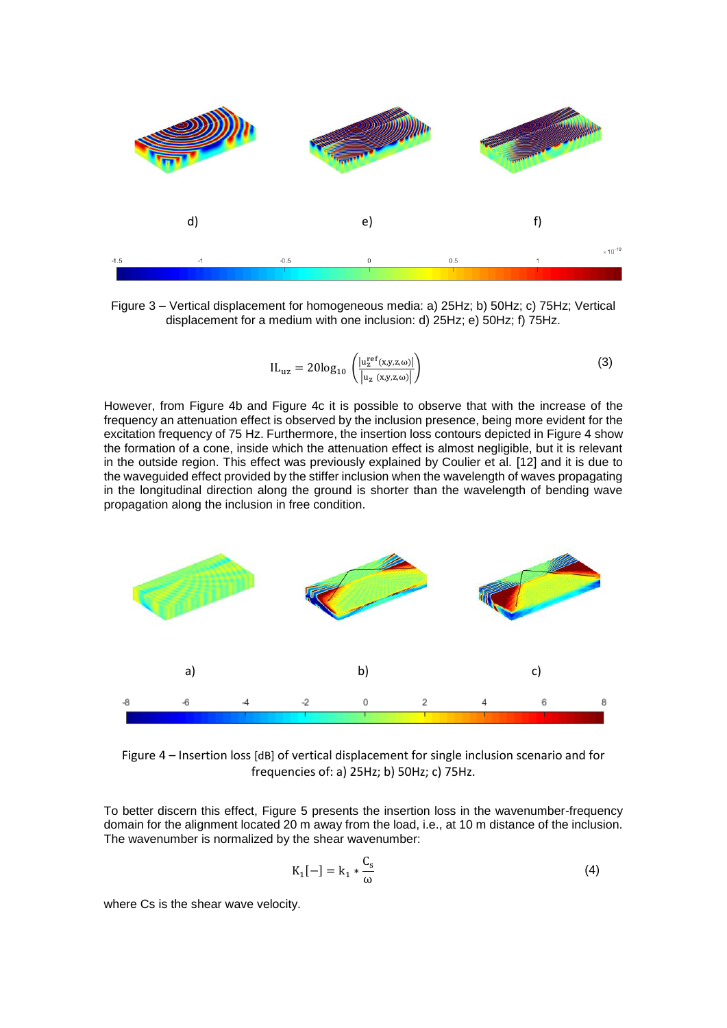

<span id="page-3-0"></span>Figure 3 – Vertical displacement for homogeneous media: a) 25Hz; b) 50Hz; c) 75Hz; Vertical displacement for a medium with one inclusion: d) 25Hz; e) 50Hz; f) 75Hz.

$$
IL_{uz} = 20\log_{10}\left(\frac{|u_z^{ref}(x,y,z,\omega)|}{|u_z(x,y,z,\omega)|}\right)
$$
\n(3)

However, from [Figure 4b](#page-3-1) and [Figure 4c](#page-3-1) it is possible to observe that with the increase of the frequency an attenuation effect is observed by the inclusion presence, being more evident for the excitation frequency of 75 Hz. Furthermore, the insertion loss contours depicted in [Figure 4](#page-3-1) show the formation of a cone, inside which the attenuation effect is almost negligible, but it is relevant in the outside region. This effect was previously explained by Coulier et al. [12] and it is due to the waveguided effect provided by the stiffer inclusion when the wavelength of waves propagating in the longitudinal direction along the ground is shorter than the wavelength of bending wave propagation along the inclusion in free condition.



<span id="page-3-1"></span>Figure 4 – Insertion loss [dB] of vertical displacement for single inclusion scenario and for frequencies of: a) 25Hz; b) 50Hz; c) 75Hz.

To better discern this effect, [Figure 5](#page-4-0) presents the insertion loss in the wavenumber-frequency domain for the alignment located 20 m away from the load, i.e., at 10 m distance of the inclusion. The wavenumber is normalized by the shear wavenumber:

$$
K_1[-] = k_1 \ast \frac{C_s}{\omega} \tag{4}
$$

where Cs is the shear wave velocity.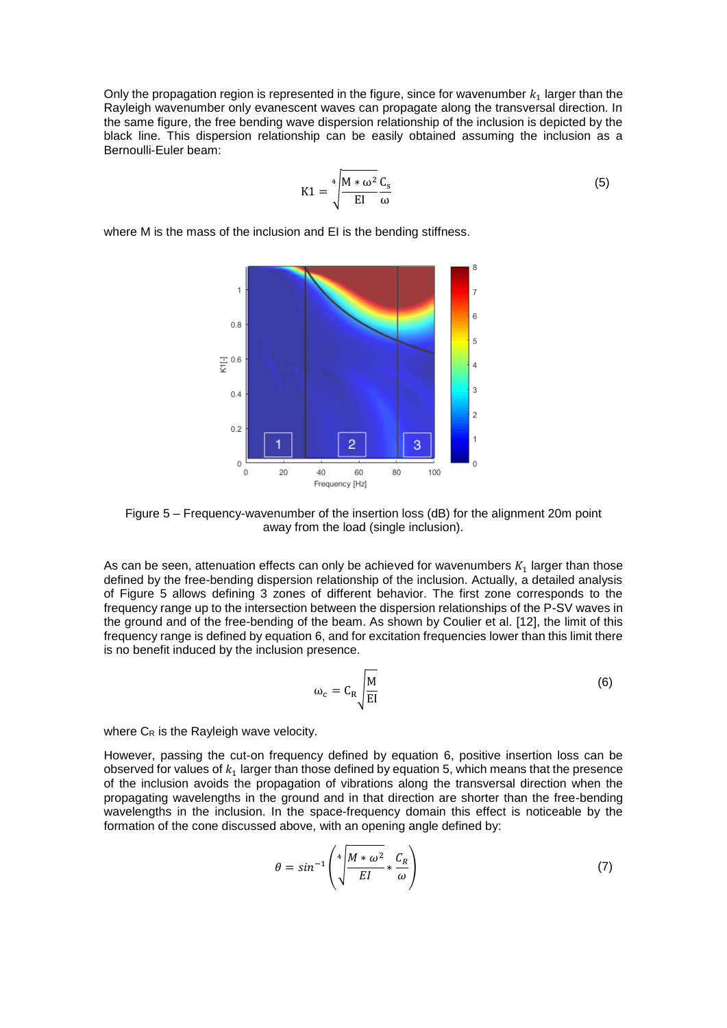Only the propagation region is represented in the figure, since for wavenumber  $k_1$  larger than the Rayleigh wavenumber only evanescent waves can propagate along the transversal direction. In the same figure, the free bending wave dispersion relationship of the inclusion is depicted by the black line. This dispersion relationship can be easily obtained assuming the inclusion as a Bernoulli-Euler beam:

$$
K1 = \sqrt[4]{\frac{M * \omega^2 C_s}{EI \omega}}
$$
 (5)

where M is the mass of the inclusion and EI is the bending stiffness.



<span id="page-4-0"></span>Figure 5 – Frequency-wavenumber of the insertion loss (dB) for the alignment 20m point away from the load (single inclusion).

As can be seen, attenuation effects can only be achieved for wavenumbers  $K_1$  larger than those defined by the free-bending dispersion relationship of the inclusion. Actually, a detailed analysis of [Figure 5](#page-4-0) allows defining 3 zones of different behavior. The first zone corresponds to the frequency range up to the intersection between the dispersion relationships of the P-SV waves in the ground and of the free-bending of the beam. As shown by Coulier et al. [12], the limit of this frequency range is defined by equation 6, and for excitation frequencies lower than this limit there is no benefit induced by the inclusion presence.

$$
\omega_{\rm c} = C_{\rm R} \sqrt{\frac{M}{\rm EI}}\tag{6}
$$

where C<sub>R</sub> is the Rayleigh wave velocity.

However, passing the cut-on frequency defined by equation 6, positive insertion loss can be observed for values of  $k_1$  larger than those defined by equation 5, which means that the presence of the inclusion avoids the propagation of vibrations along the transversal direction when the propagating wavelengths in the ground and in that direction are shorter than the free-bending wavelengths in the inclusion. In the space-frequency domain this effect is noticeable by the formation of the cone discussed above, with an opening angle defined by:

$$
\theta = \sin^{-1}\left(\sqrt[4]{\frac{M*\omega^2}{EI}} * \frac{C_R}{\omega}\right) \tag{7}
$$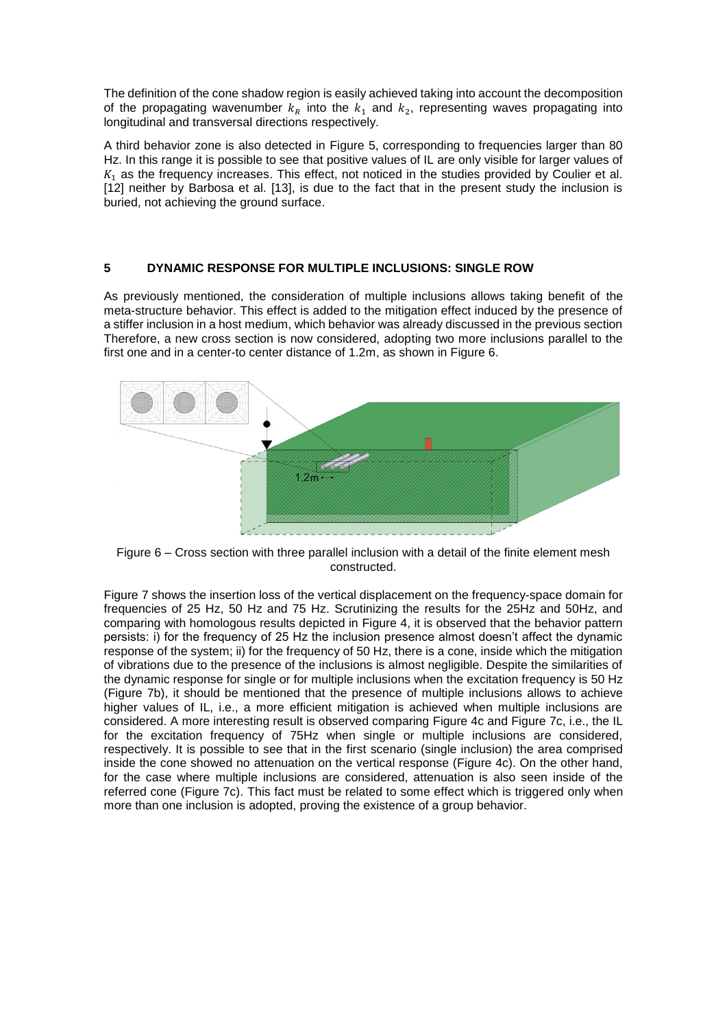The definition of the cone shadow region is easily achieved taking into account the decomposition of the propagating wavenumber  $k_R$  into the  $k_1$  and  $k_2$ , representing waves propagating into longitudinal and transversal directions respectively.

A third behavior zone is also detected in [Figure 5,](#page-4-0) corresponding to frequencies larger than 80 Hz. In this range it is possible to see that positive values of IL are only visible for larger values of  $K<sub>1</sub>$  as the frequency increases. This effect, not noticed in the studies provided by Coulier et al. [12] neither by Barbosa et al. [13], is due to the fact that in the present study the inclusion is buried, not achieving the ground surface.

# **5 DYNAMIC RESPONSE FOR MULTIPLE INCLUSIONS: SINGLE ROW**

As previously mentioned, the consideration of multiple inclusions allows taking benefit of the meta-structure behavior. This effect is added to the mitigation effect induced by the presence of a stiffer inclusion in a host medium, which behavior was already discussed in the previous section Therefore, a new cross section is now considered, adopting two more inclusions parallel to the first one and in a center-to center distance of 1.2m, as shown in Figure 6.



Figure 6 – Cross section with three parallel inclusion with a detail of the finite element mesh constructed.

Figure 7 shows the insertion loss of the vertical displacement on the frequency-space domain for frequencies of 25 Hz, 50 Hz and 75 Hz. Scrutinizing the results for the 25Hz and 50Hz, and comparing with homologous results depicted in [Figure 4,](#page-3-1) it is observed that the behavior pattern persists: i) for the frequency of 25 Hz the inclusion presence almost doesn't affect the dynamic response of the system; ii) for the frequency of 50 Hz, there is a cone, inside which the mitigation of vibrations due to the presence of the inclusions is almost negligible. Despite the similarities of the dynamic response for single or for multiple inclusions when the excitation frequency is 50 Hz (Figure 7b), it should be mentioned that the presence of multiple inclusions allows to achieve higher values of IL, i.e., a more efficient mitigation is achieved when multiple inclusions are considered. A more interesting result is observed comparing [Figure 4c](#page-3-1) and [Figure 7c](#page-6-0), i.e., the IL for the excitation frequency of 75Hz when single or multiple inclusions are considered, respectively. It is possible to see that in the first scenario (single inclusion) the area comprised inside the cone showed no attenuation on the vertical response [\(Figure 4c](#page-3-1)). On the other hand, for the case where multiple inclusions are considered, attenuation is also seen inside of the referred cone [\(Figure 7c](#page-6-0)). This fact must be related to some effect which is triggered only when more than one inclusion is adopted, proving the existence of a group behavior.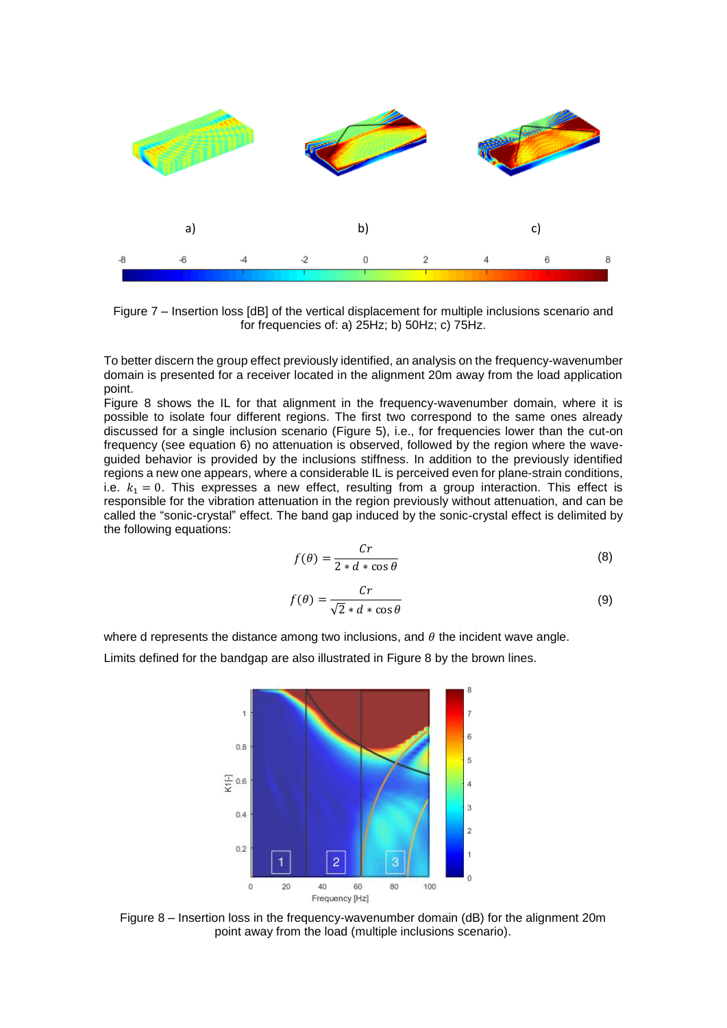

<span id="page-6-0"></span>Figure 7 – Insertion loss [dB] of the vertical displacement for multiple inclusions scenario and for frequencies of: a) 25Hz; b) 50Hz; c) 75Hz.

To better discern the group effect previously identified, an analysis on the frequency-wavenumber domain is presented for a receiver located in the alignment 20m away from the load application point.

[Figure 8](#page-6-1) shows the IL for that alignment in the frequency-wavenumber domain, where it is possible to isolate four different regions. The first two correspond to the same ones already discussed for a single inclusion scenario [\(Figure 5\)](#page-4-0), i.e., for frequencies lower than the cut-on frequency (see equation 6) no attenuation is observed, followed by the region where the waveguided behavior is provided by the inclusions stiffness. In addition to the previously identified regions a new one appears, where a considerable IL is perceived even for plane-strain conditions, i.e.  $k_1 = 0$ . This expresses a new effect, resulting from a group interaction. This effect is responsible for the vibration attenuation in the region previously without attenuation, and can be called the "sonic-crystal" effect. The band gap induced by the sonic-crystal effect is delimited by the following equations:

$$
f(\theta) = \frac{Cr}{2 * d * \cos \theta} \tag{8}
$$

$$
f(\theta) = \frac{Cr}{\sqrt{2} * d * \cos \theta} \tag{9}
$$

where d represents the distance among two inclusions, and  $\theta$  the incident wave angle.

Limits defined for the bandgap are also illustrated in [Figure 8](#page-6-1) by the brown lines.



<span id="page-6-1"></span>Figure 8 – Insertion loss in the frequency-wavenumber domain (dB) for the alignment 20m point away from the load (multiple inclusions scenario).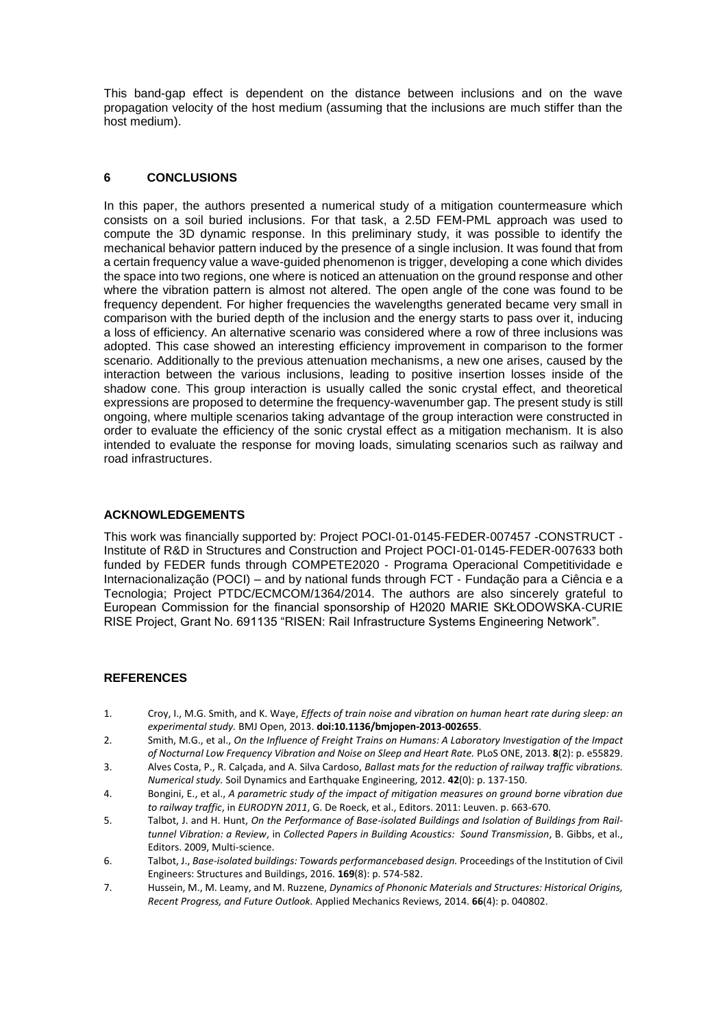This band-gap effect is dependent on the distance between inclusions and on the wave propagation velocity of the host medium (assuming that the inclusions are much stiffer than the host medium).

# **6 CONCLUSIONS**

In this paper, the authors presented a numerical study of a mitigation countermeasure which consists on a soil buried inclusions. For that task, a 2.5D FEM-PML approach was used to compute the 3D dynamic response. In this preliminary study, it was possible to identify the mechanical behavior pattern induced by the presence of a single inclusion. It was found that from a certain frequency value a wave-guided phenomenon is trigger, developing a cone which divides the space into two regions, one where is noticed an attenuation on the ground response and other where the vibration pattern is almost not altered. The open angle of the cone was found to be frequency dependent. For higher frequencies the wavelengths generated became very small in comparison with the buried depth of the inclusion and the energy starts to pass over it, inducing a loss of efficiency. An alternative scenario was considered where a row of three inclusions was adopted. This case showed an interesting efficiency improvement in comparison to the former scenario. Additionally to the previous attenuation mechanisms, a new one arises, caused by the interaction between the various inclusions, leading to positive insertion losses inside of the shadow cone. This group interaction is usually called the sonic crystal effect, and theoretical expressions are proposed to determine the frequency-wavenumber gap. The present study is still ongoing, where multiple scenarios taking advantage of the group interaction were constructed in order to evaluate the efficiency of the sonic crystal effect as a mitigation mechanism. It is also intended to evaluate the response for moving loads, simulating scenarios such as railway and road infrastructures.

# **ACKNOWLEDGEMENTS**

This work was financially supported by: Project POCI‐01‐0145‐FEDER‐007457 ‐CONSTRUCT ‐ Institute of R&D in Structures and Construction and Project POCI‐01‐0145‐FEDER‐007633 both funded by FEDER funds through COMPETE2020 ‐ Programa Operacional Competitividade e Internacionalização (POCI) – and by national funds through FCT ‐ Fundação para a Ciência e a Tecnologia; Project PTDC/ECMCOM/1364/2014. The authors are also sincerely grateful to European Commission for the financial sponsorship of H2020 MARIE SKŁODOWSKA‐CURIE RISE Project, Grant No. 691135 "RISEN: Rail Infrastructure Systems Engineering Network".

# **REFERENCES**

- 1. Croy, I., M.G. Smith, and K. Waye, *Effects of train noise and vibration on human heart rate during sleep: an experimental study.* BMJ Open, 2013. **doi:10.1136/bmjopen-2013-002655**.
- 2. Smith, M.G., et al., *On the Influence of Freight Trains on Humans: A Laboratory Investigation of the Impact of Nocturnal Low Frequency Vibration and Noise on Sleep and Heart Rate.* PLoS ONE, 2013. **8**(2): p. e55829.
- 3. Alves Costa, P., R. Calçada, and A. Silva Cardoso, *Ballast mats for the reduction of railway traffic vibrations. Numerical study.* Soil Dynamics and Earthquake Engineering, 2012. **42**(0): p. 137-150.
- 4. Bongini, E., et al., *A parametric study of the impact of mitigation measures on ground borne vibration due to railway traffic*, in *EURODYN 2011*, G. De Roeck, et al., Editors. 2011: Leuven. p. 663-670.
- 5. Talbot, J. and H. Hunt, *On the Performance of Base-isolated Buildings and Isolation of Buildings from Railtunnel Vibration: a Review*, in *Collected Papers in Building Acoustics: Sound Transmission*, B. Gibbs, et al., Editors. 2009, Multi-science.
- 6. Talbot, J., *Base-isolated buildings: Towards performancebased design.* Proceedings of the Institution of Civil Engineers: Structures and Buildings, 2016. **169**(8): p. 574-582.
- 7. Hussein, M., M. Leamy, and M. Ruzzene, *Dynamics of Phononic Materials and Structures: Historical Origins, Recent Progress, and Future Outlook.* Applied Mechanics Reviews, 2014. **66**(4): p. 040802.